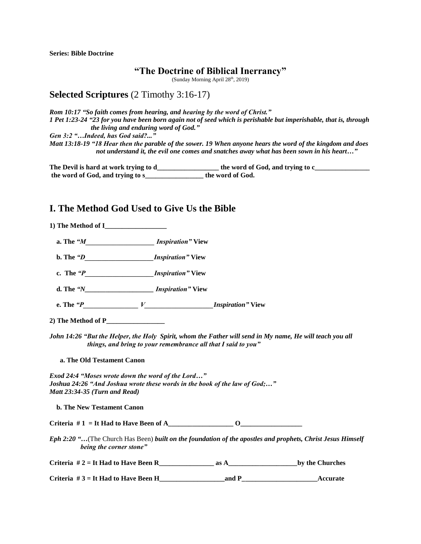**Series: Bible Doctrine**

#### **"The Doctrine of Biblical Inerrancy"**

(Sunday Morning April 28<sup>th</sup>, 2019)

## **Selected Scriptures** (2 Timothy 3:16-17)

*Rom 10:17 "So faith comes from hearing, and hearing by the word of Christ." 1 Pet 1:23-24 "23 for you have been born again not of seed which is perishable but imperishable, that is, through the living and enduring word of God." Gen 3:2 "…Indeed, has God said?..."*

*Matt 13:18-19 "18 Hear then the parable of the sower. 19 When anyone hears the word of the kingdom and does not understand it, the evil one comes and snatches away what has been sown in his heart…"*

**The Devil is hard at work trying to d\_\_\_\_\_\_\_\_\_\_\_\_\_\_\_\_\_\_ the word of God, and trying to c\_\_\_\_\_\_\_\_\_\_\_\_\_\_\_\_ the word of God, and trying to s\_\_\_\_\_\_\_\_\_\_\_\_\_\_\_\_\_ the word of God.** 

# **I. The Method God Used to Give Us the Bible**

**1) The Method of I\_\_\_\_\_\_\_\_\_\_\_\_\_\_\_\_\_\_**

 **a. The** *"M\_\_\_\_\_\_\_\_\_\_\_\_\_\_\_\_\_\_\_\_ Inspiration"* **View** 

 **b. The** *"D\_\_\_\_\_\_\_\_\_\_\_\_\_\_\_\_\_\_\_\_Inspiration"* **View**

 **c. The** *"P\_\_\_\_\_\_\_\_\_\_\_\_\_\_\_\_\_\_\_\_Inspiration"* **View**

 **d. The** *"N\_\_\_\_\_\_\_\_\_\_\_\_\_\_\_\_\_\_\_\_ Inspiration"* **View** 

 **e. The** *"P\_\_\_\_\_\_\_\_\_\_\_\_\_\_\_\_ V\_\_\_\_\_\_\_\_\_\_\_\_\_\_\_\_\_\_\_\_Inspiration"* **View**

**2) The Method of P\_\_\_\_\_\_\_\_\_\_\_\_\_\_\_\_\_**

*John 14:26 "But the Helper, the Holy Spirit, whom the Father will send in My name, He will teach you all things, and bring to your remembrance all that I said to you"* 

**a. The Old Testament Canon** 

*Exod 24:4 "Moses wrote down the word of the Lord…" Joshua 24:26 "And Joshua wrote these words in the book of the law of God;…" Matt 23:34-35 (Turn and Read)* 

|  | <b>b. The New Testament Canon</b> |  |
|--|-----------------------------------|--|
|  |                                   |  |

**Criteria # 1 = It Had to Have Been of A\_\_\_\_\_\_\_\_\_\_\_\_\_\_\_\_\_\_\_ O\_\_\_\_\_\_\_\_\_\_\_\_\_\_\_\_\_\_**

*Eph 2:20 "…*(The Church Has Been) *built on the foundation of the apostles and prophets, Christ Jesus Himself being the corner stone"* 

| Criteria $#2 =$ It Had to Have Been R | as | by the Churches |
|---------------------------------------|----|-----------------|
|---------------------------------------|----|-----------------|

**Criteria # 3 = It Had to Have Been H\_\_\_\_\_\_\_\_\_\_\_\_\_\_\_\_\_\_\_and P\_\_\_\_\_\_\_\_\_\_\_\_\_\_\_\_\_\_\_\_\_\_Accurate**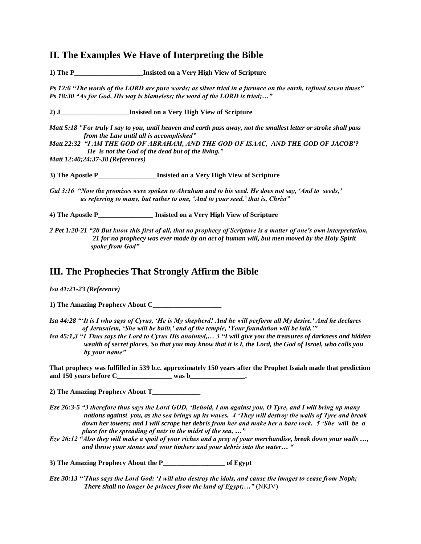# **II. The Examples We Have of Interpreting the Bible**

**1) The P\_\_\_\_\_\_\_\_\_\_\_\_\_\_\_\_\_\_\_\_Insisted on a Very High View of Scripture**

*Ps 12:6 "The words of the LORD are pure words; as silver tried in a furnace on the earth, refined seven times" Ps 18:30 "As for God, His way is blameless; the word of the LORD is tried;…"*

**2) J\_\_\_\_\_\_\_\_\_\_\_\_\_\_\_\_\_\_\_\_Insisted on a Very High View of Scripture**

*Matt 5:18 "For truly I say to you, until heaven and earth pass away, not the smallest letter or stroke shall pass from the Law until all is accomplished"* 

*Matt 22:32 "I AM THE GOD OF ABRAHAM, AND THE GOD OF ISAAC, AND THE GOD OF JACOB'? He is not the God of the dead but of the living."* 

*Matt 12:40;24:37-38 (References)*

**3) The Apostle P\_\_\_\_\_\_\_\_\_\_\_\_\_\_\_\_\_Insisted on a Very High View of Scripture**

*Gal 3:16 "Now the promises were spoken to Abraham and to his seed. He does not say, 'And to seeds,' as referring to many, but rather to one, 'And to your seed,' that is, Christ"* 

**4) The Apostle P\_\_\_\_\_\_\_\_\_\_\_\_\_\_\_\_ Insisted on a Very High View of Scripture**

*2 Pet 1:20-21 "20 But know this first of all, that no prophecy of Scripture is a matter of one's own interpretation, 21 for no prophecy was ever made by an act of human will, but men moved by the Holy Spirit spoke from God"* 

### **III. The Prophecies That Strongly Affirm the Bible**

*Isa 41:21-23 (Reference)*

**1) The Amazing Prophecy About C\_\_\_\_\_\_\_\_\_\_\_\_\_\_\_\_\_\_\_\_**

*Isa 44:28 "'It is I who says of Cyrus, 'He is My shepherd! And he will perform all My desire.' And he declares of Jerusalem, 'She will be built,' and of the temple, 'Your foundation will be laid.'"* 

*Isa 45:1,3 "1 Thus says the Lord to Cyrus His anointed,… 3 "I will give you the treasures of darkness and hidden wealth of secret places, So that you may know that it is I, the Lord, the God of Israel, who calls you by your name"*

**That prophecy was fulfilled in 539 b.c. approximately 150 years after the Prophet Isaiah made that prediction and 150 years before C\_\_\_\_\_\_\_\_\_\_\_\_\_\_\_\_ was b\_\_\_\_\_\_\_\_\_\_\_\_\_\_\_\_.** 

**2) The Amazing Prophecy About T\_\_\_\_\_\_\_\_\_\_\_\_\_\_**

- *Eze 26:3-5 "3 therefore thus says the Lord GOD, 'Behold, I am against you, O Tyre, and I will bring up many nations against you, as the sea brings up its waves. 4 'They will destroy the walls of Tyre and break down her towers; and I will scrape her debris from her and make her a bare rock. 5 'She will be a place for the spreading of nets in the midst of the sea, …"*
- *Eze 26:12 "Also they will make a spoil of your riches and a prey of your merchandise, break down your walls …, and throw your stones and your timbers and your debris into the water… "*

**3) The Amazing Prophecy About the P\_\_\_\_\_\_\_\_\_\_\_\_\_\_\_\_\_\_ of Egypt**

*Eze 30:13 "'Thus says the Lord God: 'I will also destroy the idols, and cause the images to cease from Noph; There shall no longer be princes from the land of Egypt;…"* (NKJV)